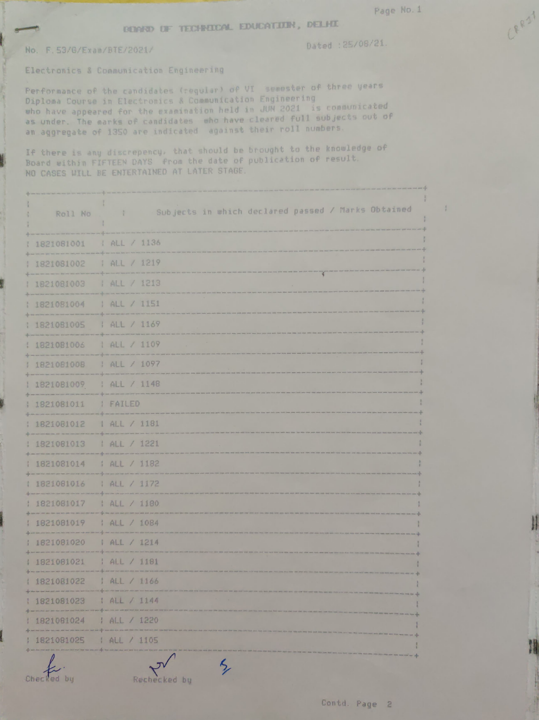Ŧ

CRRST

## DENNO UF TECHNOCAL EDUCATION, DELHI

## No. F. 53/6/Exan/BTE/2021/

Dated :25/08/21.

Electronics& Connunication Engineering

Performance of the candidates (reqular) of VI semester of three years Daploma Course in Electronics & Communication Engineer ing who have appeared for the examination held in JUN 2021 is communicated who have appeared for the examination held in cleared full subjects out of as bhuer. The warks or Lamindicated against their roll numbers.

If there is any discrepency, that should be brought to the knouledge of Board within FIFTEEN DAYS from the date of publication of result. NO CASES WILL BE ENTERTAINED AT LATER STAGE.

| Subjects in which declared passed / Marks Obtained<br>$\frac{1}{2}$ |
|---------------------------------------------------------------------|
| I ALL / 1136                                                        |
| 1 ALL / 1219                                                        |
| ¥<br>  ALL / 1213                                                   |
| ALL / 1151                                                          |
| ; ALL / 1169                                                        |
| ALL / 1109                                                          |
| ALL / 1097                                                          |
| ALL / 1148                                                          |
| <b>FAILED</b>                                                       |
| ALL / 1181                                                          |
| 1 ALL / 1221                                                        |
| 1 ALL / 1182                                                        |
| ALL / 1172                                                          |
| 1 ALL / 1180                                                        |
| 1 ALL / 1084                                                        |
| ALL / 1214                                                          |
| AAL / 1181                                                          |
| 1 ALL / 1166                                                        |
| I ALL / 1144                                                        |
| 1 ALL / 1220                                                        |
| ALL / 1105                                                          |
|                                                                     |

タ

Checked by Rechecked by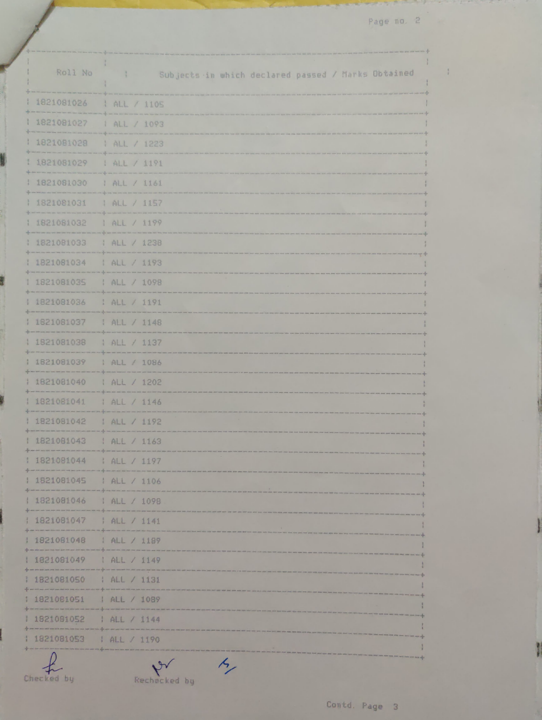Page no. 2

 $\frac{1}{2}$ 

| Roll No      | $\mathbb{R}$<br>Subjects in which declared passed / Marks Obtained |
|--------------|--------------------------------------------------------------------|
| 1821081026   | ALL / 1105                                                         |
| 1821081027   | ALL / 1093                                                         |
| 1821081028   | ALL / 1223                                                         |
| 1821081029   | 1 ALL / 1191                                                       |
| 1 1821081030 | ALL / 1161                                                         |
| 1821081031   | ALL / 1157                                                         |
| 1821081032   | ALL / 1199                                                         |
| 1821081033   | ALL / 1238                                                         |
| 1821081034   | 1 ALL / 1193                                                       |
| 1821081035   | : ALL / 1098                                                       |
| 1821081036   | : ALL / 1191                                                       |
| 1821081037   | ALL / 1148                                                         |
| 1821081038   | ALL / 1137                                                         |
| 1821081039   | ALL / 1086                                                         |
| 1821081040   | 1 ALL / 1202                                                       |
| 1821081041   | ALL / 1146                                                         |
| 1821081042   | I ALL / 1192                                                       |
| 1821081043   | HAL / 1163                                                         |
| 1821081044   | ALL / 1197                                                         |
| 1821081045   | 1 ALL / 1106                                                       |
| 1821081046   | ALL / 1098                                                         |
| 1821081047   | ALL / 1141                                                         |
| 1821081048   | ALL / 1189                                                         |
| 1821081049   | ALL / 1149                                                         |
| 1821081050   | ALL / 1131                                                         |
| 1821081051   | ALL / 1089                                                         |
| 1821081052   | ALL / 1144                                                         |
| 1821081053   | ALL / 1190                                                         |
|              | $\kappa$                                                           |

N

Ľ

y

Checked by Rechecked by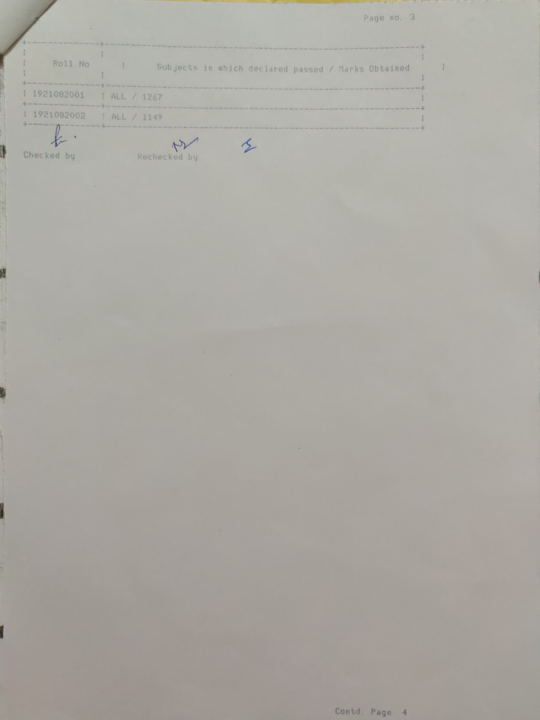Page n0. 3

| Roll No                                                                                                                                         | Subjects in which declared passed / Marks Obtained                                                                                                                                                                                                                                                                                                                                                                                                               |
|-------------------------------------------------------------------------------------------------------------------------------------------------|------------------------------------------------------------------------------------------------------------------------------------------------------------------------------------------------------------------------------------------------------------------------------------------------------------------------------------------------------------------------------------------------------------------------------------------------------------------|
| and your last this way too will be an an one of the time of a half this will also has not as and the                                            |                                                                                                                                                                                                                                                                                                                                                                                                                                                                  |
| 1921082001   ALL / 1267<br>and your way then said they have two was that were that first ager may all a mail and you want after him two resumes | THE RECORD WAS NOT THE RECORD WAS TRIVIAL OF THE ORIGINAL OR WAS NOT THE RECORD WAS NOT THE RECORD WAS NOT THE RECORD WAS NOT THE UNIT WAS NOT THE WAS NOT THE WAS NOT THE ORIGINAL OR WAS NOT THE WAS NOT THE OWNER.                                                                                                                                                                                                                                            |
| 1921082002   ALL / 1149                                                                                                                         | THE RIVE WAS THE WAS THE WAS THE WAS THE WAS THE WAS THE WAS THE WAS THE WAS THE WAS THE WAS THE WAS THE WAS THE WAS THE WAS THE WAS THE WAS THE WAS THE WAS THE WAS THE WAS THE WAS THE WAS THE WAS THE WAS THE WAS THE WAS T<br>+ a common promotion in the common property of the common states and the common states and the common common states and the common states and the common states and the common states and the common states and the common sta |

Checked by Rechecked by

8

6

ł

 $\mathcal{L}$ 

 $\langle \vec{r} \rangle$